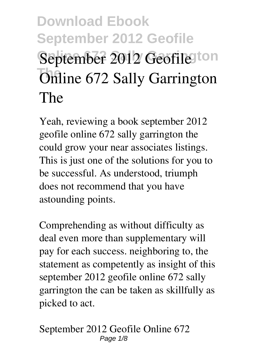# **Download Ebook September 2012 Geofile** September 2012 Geofile<sup>ton</sup> **Online 672 Sally Garrington The**

Yeah, reviewing a book **september 2012 geofile online 672 sally garrington the** could grow your near associates listings. This is just one of the solutions for you to be successful. As understood, triumph does not recommend that you have astounding points.

Comprehending as without difficulty as deal even more than supplementary will pay for each success. neighboring to, the statement as competently as insight of this september 2012 geofile online 672 sally garrington the can be taken as skillfully as picked to act.

**September 2012 Geofile Online 672** Page  $1/8$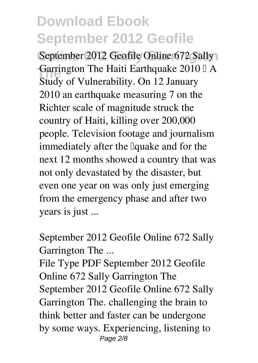September 2012 Geofile Online 672 Sally **The Haiti Earthquake 2010 LA**<br>Study of Valuate ility On 12 January Study of Vulnerability. On 12 January 2010 an earthquake measuring 7 on the Richter scale of magnitude struck the country of Haiti, killing over 200,000 people. Television footage and journalism immediately after the *l*quake and for the next 12 months showed a country that was not only devastated by the disaster, but even one year on was only just emerging from the emergency phase and after two years is just ...

**September 2012 Geofile Online 672 Sally Garrington The ...**

File Type PDF September 2012 Geofile Online 672 Sally Garrington The September 2012 Geofile Online 672 Sally Garrington The. challenging the brain to think better and faster can be undergone by some ways. Experiencing, listening to Page 2/8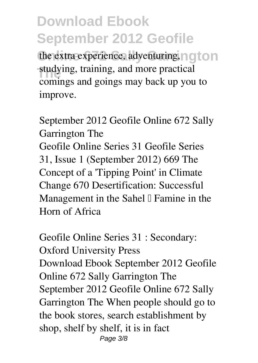the extra experience, adventuring, ngton **The studying, training, and more practical** comings and goings may back up you to improve.

**September 2012 Geofile Online 672 Sally Garrington The** Geofile Online Series 31 Geofile Series 31, Issue 1 (September 2012) 669 The Concept of a 'Tipping Point' in Climate Change 670 Desertification: Successful Management in the Sahel  $\mathbb I$  Famine in the Horn of Africa

**Geofile Online Series 31 : Secondary: Oxford University Press** Download Ebook September 2012 Geofile Online 672 Sally Garrington The September 2012 Geofile Online 672 Sally Garrington The When people should go to the book stores, search establishment by shop, shelf by shelf, it is in fact Page 3/8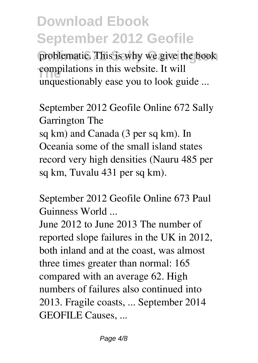problematic. This is why we give the book **The compilations in this website. It will** unquestionably ease you to look guide ...

**September 2012 Geofile Online 672 Sally Garrington The** sq km) and Canada (3 per sq km). In Oceania some of the small island states record very high densities (Nauru 485 per sq km, Tuvalu 431 per sq km).

**September 2012 Geofile Online 673 Paul Guinness World ...**

June 2012 to June 2013 The number of reported slope failures in the UK in 2012, both inland and at the coast, was almost three times greater than normal: 165 compared with an average 62. High numbers of failures also continued into 2013. Fragile coasts, ... September 2014 GEOFILE Causes, ...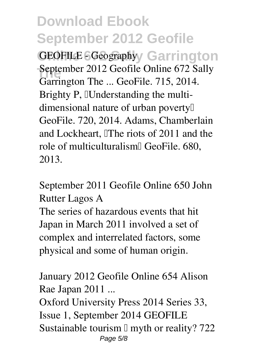**GEOFILE - Geography** Garrington **September 2012 Geofile Online 672 Sally** Garrington The ... GeoFile. 715, 2014. Brighty P, Understanding the multidimensional nature of urban poverty' GeoFile. 720, 2014. Adams, Chamberlain and Lockheart, *The riots of 2011* and the role of multiculturalism<sup><sup> G</sup>eoFile. 680,</sup> 2013.

**September 2011 Geofile Online 650 John Rutter Lagos A**

The series of hazardous events that hit Japan in March 2011 involved a set of complex and interrelated factors, some physical and some of human origin.

**January 2012 Geofile Online 654 Alison Rae Japan 2011 ...**

Oxford University Press 2014 Series 33, Issue 1, September 2014 GEOFILE Sustainable tourism  $\mathbb I$  myth or reality? 722 Page 5/8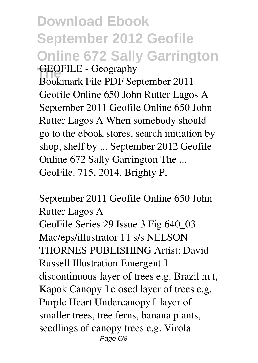#### **Download Ebook September 2012 Geofile Online 672 Sally Garrington The GEOFILE - Geography** Bookmark File PDF September 2011 Geofile Online 650 John Rutter Lagos A September 2011 Geofile Online 650 John Rutter Lagos A When somebody should go to the ebook stores, search initiation by shop, shelf by ... September 2012 Geofile Online 672 Sally Garrington The ... GeoFile. 715, 2014. Brighty P,

**September 2011 Geofile Online 650 John Rutter Lagos A** GeoFile Series 29 Issue 3 Fig 640\_03 Mac/eps/illustrator 11 s/s NELSON THORNES PUBLISHING Artist: David Russell Illustration Emergent <sup>[]</sup> discontinuous layer of trees e.g. Brazil nut, Kapok Canopy  $\Box$  closed layer of trees e.g. Purple Heart Undercanopy  $\Box$  layer of smaller trees, tree ferns, banana plants, seedlings of canopy trees e.g. Virola Page 6/8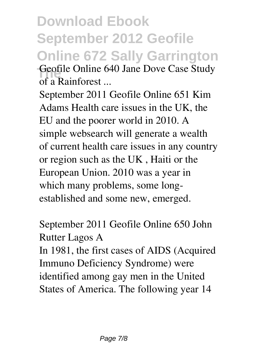**Download Ebook September 2012 Geofile Online 672 Sally Garrington The Geofile Online 640 Jane Dove Case Study of a Rainforest ...**

September 2011 Geofile Online 651 Kim Adams Health care issues in the UK, the EU and the poorer world in 2010. A simple websearch will generate a wealth of current health care issues in any country or region such as the UK , Haiti or the European Union. 2010 was a year in which many problems, some longestablished and some new, emerged.

**September 2011 Geofile Online 650 John Rutter Lagos A**

In 1981, the first cases of AIDS (Acquired Immuno Deficiency Syndrome) were identified among gay men in the United States of America. The following year 14